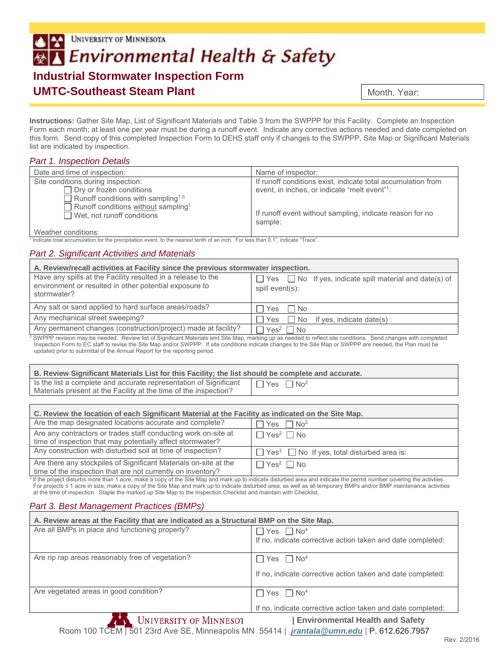# UNIVERSITY OF MINNESOTA Environmental Health & Safety **Industrial Stormwater Inspection Form**

## **UMTC-Southeast Steam Plant**

Month, Year:

**Instructions:** Gather Site Map, List of Significant Materials and Table 3 from the SWPPP for this Facility. Complete an Inspection Form each month; at least one per year must be during a runoff event. Indicate any corrective actions needed and date completed on this form. Send copy of this completed Inspection Form to DEHS staff only if changes to the SWPPP, Site Map or Significant Materials list are indicated by inspection.

#### *Part 1. Inspection Details*

| Date and time of inspection:                                                         | Name of inspector:                                                  |
|--------------------------------------------------------------------------------------|---------------------------------------------------------------------|
| Site conditions during inspection:                                                   | If runoff conditions exist, indicate total accumulation from        |
| $\Box$ Dry or frozen conditions                                                      | event, in inches, or indicate "melt event"?                         |
| Runoff conditions with sampling <sup>1,5</sup>                                       |                                                                     |
| Runoff conditions without sampling <sup>1</sup><br>$\Box$ Wet, not runoff conditions | If runoff event without sampling, indicate reason for no<br>sample: |
| 10 la a tha suite an alitianach                                                      |                                                                     |

Weather conditions:

1 Indicate total accumulation for the precipitation event, to the nearest tenth of an inch. For less than 0.1", indicate "Trace".

#### *Part 2. Significant Activities and Materials*

| A. Review/recall activities at Facility since the previous stormwater inspection.      |  |
|----------------------------------------------------------------------------------------|--|
| $\Box$ Yes $\Box$ No If yes, indicate spill material and date(s) of<br>spill event(s): |  |
| I No<br><b>Yes</b>                                                                     |  |
| No If yes, indicate date(s):<br>Yes                                                    |  |
| $\exists$ Yes <sup>2</sup> $\Box$ No                                                   |  |
|                                                                                        |  |

SWPPP revision may be needed. Review list of Significant Materials and Site Map, marking up as needed to reflect site conditions. Send changes with completed Inspection Form to EC staff to revise the Site Map and/or SWPPP. If site conditions indicate changes to the Site Map or SWPPP are needed, the Plan must be updated prior to submittal of the Annual Report for the reporting period.

| B. Review Significant Materials List for this Facility; the list should be complete and accurate.                                     |                                   |
|---------------------------------------------------------------------------------------------------------------------------------------|-----------------------------------|
| Is the list a complete and accurate representation of Significant<br>Materials present at the Facility at the time of the inspection? | $\Box$ Yes $\Box$ No <sup>2</sup> |

| C. Review the location of each Significant Material at the Facility as indicated on the Site Map.                               |                                                                    |  |
|---------------------------------------------------------------------------------------------------------------------------------|--------------------------------------------------------------------|--|
| Are the map designated locations accurate and complete?                                                                         | $\exists$ Yes $\Box$ No <sup>2</sup>                               |  |
| Are any contractors or trades staff conducting work on-site at<br>time of inspection that may potentially affect stormwater?    | $\Box$ Yes <sup>2</sup> $\Box$ No                                  |  |
| Any construction with disturbed soil at time of inspection?                                                                     | $\Box$ Yes <sup>3</sup> $\Box$ No If yes, total disturbed area is: |  |
| Are there any stockpiles of Significant Materials on-site at the<br>time of the inspection that are not currently on inventory? | $\Box$ Yes <sup>2</sup> $\Box$ No                                  |  |

<sup>3</sup> If the project disturbs more than 1 acre, make a copy of the Site Map and mark up to indicate disturbed area and indicate the permit number covering the activties. For projects ≤ 1 acre in size, make a copy of the Site Map and mark up to indicate disturbed area, as well as all temporary BMPs and/or BMP maintenance activities at the time of inspection. Staple the marked up Site Map to the Inspection Checklist and maintain with Checklist.

### *Part 3. Best Management Practices (BMPs)*

| A. Review areas at the Facility that are indicated as a Structural BMP on the Site Map. |                                                                                                     |
|-----------------------------------------------------------------------------------------|-----------------------------------------------------------------------------------------------------|
| Are all BMPs in place and functioning properly?                                         | $\exists$ Yes $\Box$ No <sup>4</sup><br>If no, indicate corrective action taken and date completed: |
| Are rip rap areas reasonably free of vegetation?                                        | $\top$ Yes $\Box$ No <sup>4</sup>                                                                   |
|                                                                                         | If no, indicate corrective action taken and date completed:                                         |
| Are vegetated areas in good condition?                                                  | $\Box$ Yes $\Box$ No <sup>4</sup>                                                                   |
|                                                                                         | If no, indicate corrective action taken and date completed:                                         |
| <b>UNIVERSITY OF MINNESOT</b>                                                           | <b>Environmental Health and Safety</b>                                                              |

Room 100 TCEM | 501 23rd Ave SE, Minneapolis MN 55414 | *jrantala@umn.edu* | P. 612.626.7957